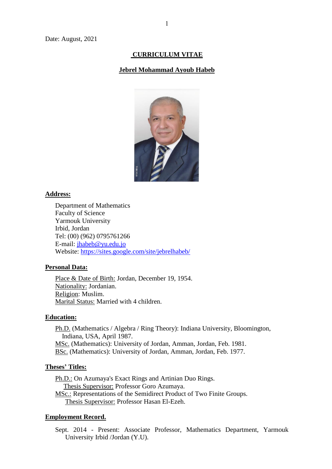# **CURRICULUM VITAE**

#### **Jebrel Mohammad Ayoub Habeb**



#### **Address:**

Department of Mathematics Faculty of Science Yarmouk University Irbid, Jordan Tel: (00) (962) 0795761266 E-mail: [jhabeb@yu.edu.jo](mailto:jhabeb@yu.edu.jo) Website:<https://sites.google.com/site/jebrelhabeb/>

#### **Personal Data:**

Place & Date of Birth: Jordan, December 19, 1954. Nationality: Jordanian. Religion: Muslim. Marital Status: Married with 4 children.

#### **Education:**

Ph.D. (Mathematics / Algebra / Ring Theory): Indiana University, Bloomington, Indiana, USA, April 1987. MSc. (Mathematics): University of Jordan, Amman, Jordan, Feb. 1981. BSc. (Mathematics): University of Jordan, Amman, Jordan, Feb. 1977.

#### **Theses' Titles:**

Ph.D.: On Azumaya's Exact Rings and Artinian Duo Rings. Thesis Supervisor: Professor Goro Azumaya. MSc.: Representations of the Semidirect Product of Two Finite Groups. Thesis Supervisor: Professor Hasan El-Ezeh.

#### **Employment Record.**

Sept. 2014 - Present: Associate Professor, Mathematics Department, Yarmouk University Irbid /Jordan (Y.U).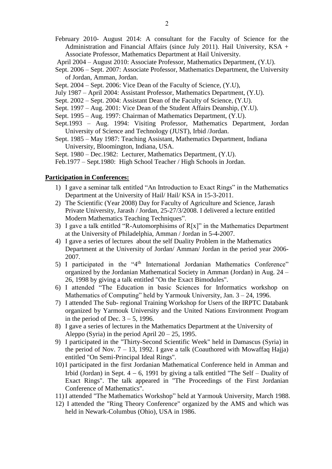February 2010- August 2014: A consultant for the Faculty of Science for the Administration and Financial Affairs (since July 2011). Hail University, KSA + Associate Professor, Mathematics Department at Hail University.

April 2004 – August 2010: Associate Professor, Mathematics Department, (Y.U).

- Sept. 2006 Sept. 2007: Associate Professor, Mathematics Department, the University of Jordan, Amman, Jordan.
- Sept. 2004 Sept. 2006: Vice Dean of the Faculty of Science, (Y.U),
- July 1987 April 2004: Assistant Professor, Mathematics Department, (Y.U).
- Sept. 2002 Sept. 2004: Assistant Dean of the Faculty of Science, (Y.U).
- Sept. 1997 Aug. 2001: Vice Dean of the Student Affairs Deanship, (Y.U).
- Sept. 1995 Aug. 1997: Chairman of Mathematics Department, (Y.U).
- Sept.1993 Aug. 1994: Visiting Professor, Mathematics Department, Jordan University of Science and Technology (JUST), Irbid /Jordan.
- Sept. 1985 May 1987: Teaching Assistant, Mathematics Department, Indiana University, Bloomington, Indiana, USA.

Sept. 1980 – Dec.1982: Lecturer, Mathematics Department, (Y.U).

Feb.1977 – Sept.1980: High School Teacher / High Schools in Jordan.

#### **Participation in Conferences:**

- 1) I gave a seminar talk entitled "An Introduction to Exact Rings" in the Mathematics Department at the University of Hail/ Hail/ KSA in 15-3-2011.
- 2) The Scientific (Year 2008) Day for Faculty of Agriculture and Science, Jarash Private University, Jarash / Jordan, 25-27/3/2008. I delivered a lecture entitled Modern Mathematics Teaching Techniques".
- 3) I gave a talk entitled "R-Automorphisims of  $R[x]$ " in the Mathematics Department at the University of Philadelphia, Amman / Jordan in 5-4-2007.
- 4) I gave a series of lectures about the self Duality Problem in the Mathematics Department at the University of Jordan/ Amman/ Jordan in the period year 2006- 2007.
- 5) I participated in the "4<sup>th</sup> International Jordanian Mathematics Conference" organized by the Jordanian Mathematical Society in Amman (Jordan) in Aug. 24 – 26, 1998 by giving a talk entitled "On the Exact Bimodules".
- 6) I attended "The Education in basic Sciences for Informatics workshop on Mathematics of Computing" held by Yarmouk University, Jan. 3 – 24, 1996.
- 7) I attended The Sub- regional Training Workshop for Users of the IRPTC Databank organized by Yarmouk University and the United Nations Environment Program in the period of Dec.  $3 - 5$ , 1996.
- 8) I gave a series of lectures in the Mathematics Department at the University of Aleppo (Syria) in the period April  $20 - 25$ , 1995.
- 9) I participated in the "Thirty-Second Scientific Week" held in Damascus (Syria) in the period of Nov.  $7 - 13$ , 1992. I gave a talk (Coauthored with Mowaffaq Hajja) entitled "On Semi-Principal Ideal Rings".
- 10) I participated in the first Jordanian Mathematical Conference held in Amman and Irbid (Jordan) in Sept.  $4 - 6$ , 1991 by giving a talk entitled "The Self – Duality of Exact Rings". The talk appeared in "The Proceedings of the First Jordanian Conference of Mathematics".
- 11) I attended "The Mathematics Workshop" held at Yarmouk University, March 1988.
- 12) I attended the "Ring Theory Conference" organized by the AMS and which was held in Newark-Columbus (Ohio), USA in 1986.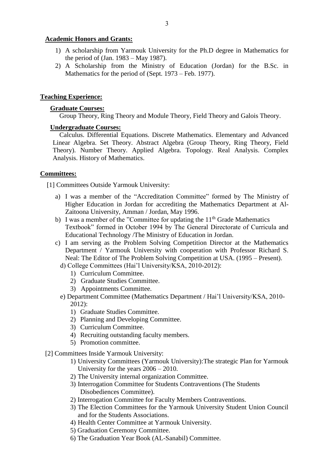## **Academic Honors and Grants:**

- 1) A scholarship from Yarmouk University for the Ph.D degree in Mathematics for the period of (Jan. 1983 – May 1987).
- 2) A Scholarship from the Ministry of Education (Jordan) for the B.Sc. in Mathematics for the period of (Sept. 1973 – Feb. 1977).

## **Teaching Experience:**

## **Graduate Courses:**

Group Theory, Ring Theory and Module Theory, Field Theory and Galois Theory.

## **Undergraduate Courses:**

Calculus. Differential Equations. Discrete Mathematics. Elementary and Advanced Linear Algebra. Set Theory. Abstract Algebra (Group Theory, Ring Theory, Field Theory). Number Theory. Applied Algebra. Topology. Real Analysis. Complex Analysis. History of Mathematics.

## **Committees:**

[1] Committees Outside Yarmouk University:

- a) I was a member of the "Accreditation Committee" formed by The Ministry of Higher Education in Jordan for accrediting the Mathematics Department at Al-Zaitoona University, Amman / Jordan, May 1996.
- b) I was a member of the "Committee for updating the  $11<sup>th</sup>$  Grade Mathematics Textbook" formed in October 1994 by The General Directorate of Curricula and Educational Technology /The Ministry of Education in Jordan.
- c) I am serving as the Problem Solving Competition Director at the Mathematics Department / Yarmouk University with cooperation with Professor Richard S. Neal: The Editor of The Problem Solving Competition at USA. (1995 – Present).
	- d) College Committees (Hai'l University/KSA, 2010-2012):
		- 1) Curriculum Committee.
		- 2) Graduate Studies Committee.
		- 3) Appointments Committee.
- e) Department Committee (Mathematics Department / Hai'l University/KSA, 2010- 2012):
	- 1) Graduate Studies Committee.
	- 2) Planning and Developing Committee.
	- 3) Curriculum Committee.
	- 4) Recruiting outstanding faculty members.
	- 5) Promotion committee.
- [2] Committees Inside Yarmouk University:
	- 1) University Committees (Yarmouk University):The strategic Plan for Yarmouk University for the years 2006 – 2010.
	- 2) The University internal organization Committee.
	- 3) Interrogation Committee for Students Contraventions (The Students Disobediences Committee).
	- 2) Interrogation Committee for Faculty Members Contraventions.
	- 3) The Election Committees for the Yarmouk University Student Union Council and for the Students Associations.
	- 4) Health Center Committee at Yarmouk University.
	- 5) Graduation Ceremony Committee.
	- 6) The Graduation Year Book (AL-Sanabil) Committee.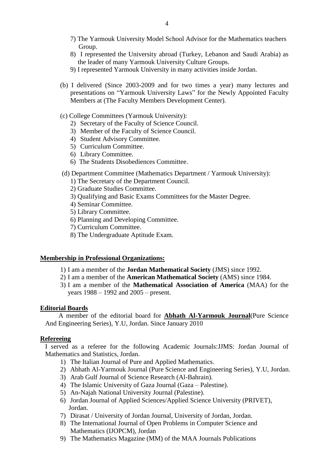- 7) The Yarmouk University Model School Advisor for the Mathematics teachers Group.
- 8) I represented the University abroad (Turkey, Lebanon and Saudi Arabia) as the leader of many Yarmouk University Culture Groups.
- 9) I represented Yarmouk University in many activities inside Jordan.
- (b) I delivered (Since 2003-2009 and for two times a year) many lectures and presentations on "Yarmouk University Laws" for the Newly Appointed Faculty Members at (The Faculty Members Development Center).
- (c) College Committees (Yarmouk University):
	- 2) Secretary of the Faculty of Science Council.
	- 3) Member of the Faculty of Science Council.
	- 4) Student Advisory Committee.
	- 5) Curriculum Committee.
	- 6) Library Committee.
	- 6) The Students Disobediences Committee.

## (d) Department Committee (Mathematics Department / Yarmouk University):

- 1) The Secretary of the Department Council.
- 2) Graduate Studies Committee.
- 3) Qualifying and Basic Exams Committees for the Master Degree.
- 4) Seminar Committee.
- 5) Library Committee.
- 6) Planning and Developing Committee.
- 7) Curriculum Committee.
- 8) The Undergraduate Aptitude Exam.

#### **Membership in Professional Organizations:**

- 1) I am a member of the **Jordan Mathematical Society** (JMS) since 1992.
- 2) I am a member of the **American Mathematical Society** (AMS) since 1984.
- 3) I am a member of the **Mathematical Association of America** (MAA) for the years 1988 – 1992 and 2005 – present.

#### **Editorial Boards**

 A member of the editorial board for **Abhath Al-Yarmouk Journal**(Pure Science And Engineering Series), Y.U, Jordan. Since January 2010

## **Refereeing**

I served as a referee for the following Academic Journals:JJMS: Jordan Journal of Mathematics and Statistics, Jordan.

- 1) The Italian Journal of Pure and Applied Mathematics.
- 2) Abhath Al-Yarmouk Journal (Pure Science and Engineering Series), Y.U, Jordan.
- 3) Arab Gulf Journal of Science Research (Al-Bahrain).
- 4) The Islamic University of Gaza Journal (Gaza Palestine).
- 5) An-Najah National University Journal (Palestine).
- 6) Jordan Journal of Applied Sciences/Applied Science University (PRIVET), Jordan.
- 7) Dirasat / University of Jordan Journal, University of Jordan, Jordan.
- 8) The International Journal of Open Problems in Computer Science and Mathematics (IJOPCM), Jordan
- 9) The Mathematics Magazine (MM) of the MAA Journals Publications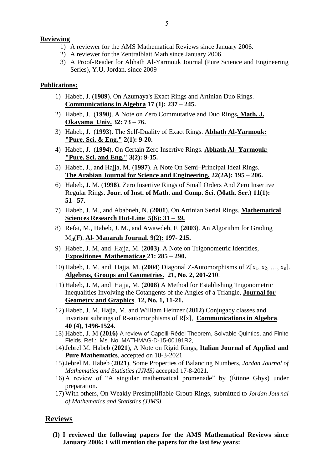# **Reviewing**

- 1) A reviewer for the AMS Mathematical Reviews since January 2006.
- 2) A reviewer for the Zentralblatt Math since January 2006.
- 3) A Proof-Reader for Abhath Al-Yarmouk Journal (Pure Science and Engineering Series), Y.U, Jordan. since 2009

# **Publications:**

- 1) Habeb, J. (**1989**). On Azumaya's Exact Rings and Artinian Duo Rings. **Communications in Algebra 17 (1): 237 – 245.**
- 2) Habeb, J. (**1990**). A Note on Zero Commutative and Duo Rings**. Math. J. Okayama Univ. 32: 73 – 76.**
- 3) Habeb, J. (**1993**). The Self-Duality of Exact Rings. **Abhath Al-Yarmouk: "Pure. Sci. & Eng." 2(1): 9-20.**
- 4) Habeb, J. (**1994**). On Certain Zero Insertive Rings. **Abhath Al- Yarmouk: "Pure. Sci. and Eng." 3(2): 9-15.**
- 5) Habeb, J., and Hajja, M. (**1997**). A Note On Semi–Principal Ideal Rings. **The Arabian Journal for Science and Engineering. 22(2A): 195 – 206.**
- 6) Habeb, J. M. (**1998**). Zero Insertive Rings of Small Orders And Zero Insertive Regular Rings. **Jour. of Inst. of Math. and Comp. Sci. (Math. Ser.) 11(1): 51– 57.**
- 7) Habeb, J. M., and Ababneh, N. (**2001**). On Artinian Serial Rings. **Mathematical Sciences Research Hot-Line 5(6): 31 – 39.**
- 8) Refai, M., Habeb, J. M., and Awawdeh, F. (**2003**). An Algorithm for Grading Mn(F). **Al- Manarah Journal. 9(2): 197- 215.**
- 9) Habeb, J. M, and Hajja, M. (**2003**). A Note on Trigonometric Identities, **Expositiones Mathematicae 21: 285 – 290.**
- 10) Habeb, J. M, and Hajja, M. (2004) Diagonal Z-Automorphisms of  $Z[x_1, x_2, ..., x_n]$ . **Algebras, Groups and Geometries. 21, No. 2, 201-210**.
- 11) Habeb, J. M, and Hajja, M. (**2008**) A Method for Establishing Trigonometric Inequalities Involving the Cotangents of the Angles of a Triangle, **Journal for Geometry and Graphics**. **12, No. 1, 11-21.**
- 12) Habeb, J. M, Hajja, M. and William Heinzer (**2012**) Conjugacy classes and invariant subrings of R-automorphisms of R[x], **Communications in Algebra**. **40 (4), 1496-1524.**
- 13) Habeb, J. M **(2016)** A review of Capelli-Rédei Theorem, Solvable Quintics, and Finite Fields. Ref.: Ms. No. MATHMAG-D-15-00191R2,
- 14)Jebrel M. Habeb (**2021**), A Note on Rigid Rings, **Italian Journal of Applied and Pure Mathematics**, accepted on 18-3-2021
- 15)Jebrel M. Habeb (**2021**), Some Properties of Balancing Numbers, *Jordan Journal of Mathematics and Statistics (JJMS)* accepted 17-8-2021*.*
- 16) A review of "A singular mathematical promenade" by (Étinne Ghys) under preparation.
- 17) With others, On Weakly Presimplifiable Group Rings, submitted to *Jordan Journal of Mathematics and Statistics (JJMS)*.

# **Reviews**

**(I) I reviewed the following papers for the AMS Mathematical Reviews since January 2006: I will mention the papers for the last few years:**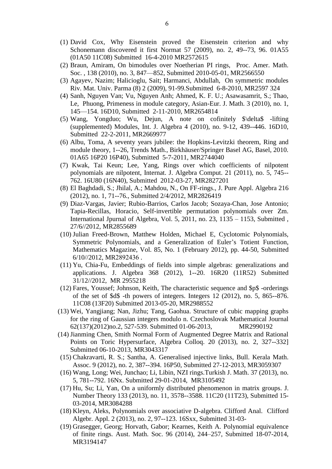- (1) David Cox, Why Eisenstein proved the Eisenstein criterion and why Schonemann discovered it first Normat 57 (2009), no. 2, 49--73, 96. 01A55 (01A50 11C08) Submitted 16-4-2010 [MR2572615](http://www.ams.org/mathscinet-getitem?mr=2572615)
- (2) Braun, Amiram, On bimodules over Noetherian PI rings, Proc. Amer. Math. Soc. , 138 (2010), no. 3, 847—852, Submitted 2010-05-01, [MR2566550](http://www.ams.org/mathscinet-getitem?mr=2566550)
- (3) Agayev, Nazim; Halicioglu, Sait; Harmanci, Abdullah, On symmetric modules Riv. Mat. Univ. Parma (8) 2 (2009), 91-99.Submitted 6-8-2010, [MR2597 324](http://www.ams.org/mathscinet-getitem?mr=2566550)
- (4) Sanh, Nguyen Van; Vu, Nguyen Anh; Ahmed, K. F. U.; Asawasamrit, S.; Thao, Le, Phuong, Primeness in module category, Asian-Eur. J. Math. 3 (2010), no. 1, 145—154. 16D10, Submitted 2-11-2010, [MR2654814](http://www.ams.org/mathscinet-getitem?mr=2566550)
- (5) Wang, Yongduo; Wu, Dejun, A note on cofinitely \$\delta\$ -lifting (supplemented) Modules, Int. J. Algebra 4 (2010), no. 9-12, 439--446. 16D10, Submitted 22-2-2011, [MR2669977](file:///I:/Personal/Dr.%20Jebrel/Dr.%20Jebrel/mathscinet-getitem)
- (6) Albu, Toma, A seventy years jubilee: the Hopkins-Levitzki theorem, Ring and module theory, 1--26, Trends Math., Birkhäuser/Springer Basel AG, Basel, 2010. 01A65 16P20 16P40), Submitted 5-7-2011, [MR2744040](file:///I:/Personal/Dr.%20Jebrel/Dr.%20Jebrel/mathscinet-getitem)
- (7) Kwak, Tai Keun; Lee, Yang, Rings over which coefficients of nilpotent polynomials are nilpotent, Internat. J. Algebra Comput. 21 (2011), no. 5, 745-- 762. 16U80 (16N40), Submitted 2012-03-27, [MR2827201](http://www.ams.org/mathscinet-getitem?mr=2827201)
- (8) El Baghdadi, S.; Jhilal, A.; Mahdou, N., On FF-rings., J. Pure Appl. Algebra 216 (2012), no. 1, 71--76., Submitted 2/4/2012, [MR2826419](http://www.ams.org/mathscinet-getitem?mr=2826419)
- (9) Diaz-Vargas, Javier; Rubio-Barrios, Carlos Jacob; Sozaya-Chan, Jose Antonio; Tapia-Recillas, Horacio, Self-invertible permutation polynomials over Zm. International Jpurnal of Algebra, Vol. 5, 2011, no. 23, 1135 – 1153, Submitted , 27/6//2012, MR2855689
- (10) Julian Freed-Brown, Matthew Holden, Michael E, Cyclotomic Polynomials, Symmetric Polynomials, and a Generalization of Euler's Totient Function, Mathematics Magazine, Vol. 85, No. 1 (February 2012), pp. 44-50, Submitted 6/10//2012, MR2892436 .
- (11) Yu, Chia-Fu, Embeddings of fields into simple algebras: generalizations and applications. J. Algebra 368 (2012), 1--20. 16R20 (11R52) Submitted 31/12//2012, MR 2955218
- (12) Fares, Youssef; Johnson, Keith, The characteristic sequence and \$p\$ -orderings of the set of \$d\$ -th powers of integers. Integers 12 (2012), no. 5, 865--876. 11C08 (13F20) Submitted 2013-05-20, MR2988552
- (13) Wei, Yangjiang; Nan, Jizhu; Tang, Gaohua. Structure of cubic mapping graphs for the ring of Gaussian integers modulo n. [Czechoslovak Mathematical Journal](http://waesearch.kobv.de/simpleSearch.do;jsessionid=D4356196EB9DB1885DE0AA2297F64761?query=journal_feed_id%3a69&plv=1) 62(137)(2012)no.2, 527-539. Submitted 01-06-2013, MR2990192
- (14) Jianming Chen, Smith Normal Form of Augmented Degree Matrix and Rational Points on Toric Hypersurface, Algebra Colloq. 20 (2013), no. 2, 327--332] Submitted 06-10-2013, MR3043317
- (15) Chakravarti, R. S.; Santha, A. Generalised injective links, Bull. Kerala Math. Assoc. 9 (2012), no. 2, 387--394. 16P50, Submitted 27-12-2013, [MR3059307](http://www.ams.org/mathscinet-getitem?mr=3059307)
- (16) Wang, Long; Wei, Junchao; Li, Libin, NZI rings.Turkish J. Math. 37 (2013), no. 5, 781--792. 16Nx. Submitted 29-01-2014, MR3105492
- (17) Hu, Su; Li, Yan, On a uniformly distributed phenomenon in matrix groups. J. Number Theory 133 (2013), no. 11, 3578--3588. 11C20 (11T23), Submitted 15- 03-2014, [MR3084288](http://www.ams.org/mathscinet-getitem?mr=3084288)
- (18) Kleyn, Aleks, Polynomials over associative D-algebra. Clifford Anal. Clifford Algebr. Appl. 2 (2013), no. 2, 97--123. 16Sxx, Submitted 31-03-
- (19) Grasegger, Georg; Horvath, Gabor; Kearnes, Keith A. Polynomial equivalence of finite rings. Aust. Math. Soc. 96 (2014), 244–257, Submitted 18-07-2014, MR3194147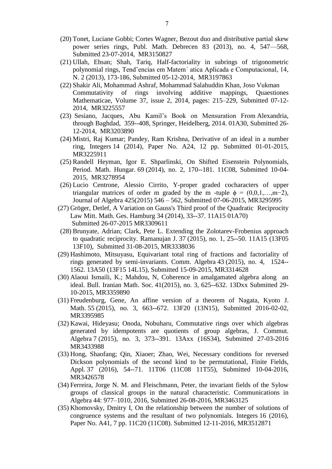- (20) Tonet, Luciane Gobbi; Cortes Wagner, Bezout duo and distributive partial skew power series rings, Publ. Math. Debrecen 83 (2013), no. 4, 547—568, Submitted 23-07-2014, [MR3150827](http://www.ams.org/mathscinet-getitem?mr=3150827)
- (21) Ullah, Ehsan; Shah, Tariq, Half-factoriality in subrings of trigonometric polynomial rings, Tendˆencias em Matem´ atica Aplicada e Computacional, 14, N. 2 (2013), 173-186, Submitted 05-12-2014, MR3197863
- (22) Shakir Ali, Mohammad Ashraf, Mohammad Salahuddin Khan, Joso Vukman Commutativity of rings involving additive mappings, [Quaestiones](http://www.nisc.co.za/products/12/journals/quaestiones-mathematicae)  [Mathematicae,](http://www.nisc.co.za/products/12/journals/quaestiones-mathematicae) [Volume 37,](http://www.nisc.co.za/products/12/journals/quaestiones-mathematicae#volume37) [issue 2,](http://www.nisc.co.za/products/12/journals/quaestiones-mathematicae#issue37-2) 2014, pages: 215–229, Submitted 07-12- 2014, MR3225557
- (23) Sesiano, Jacques, Abu Kamil's Book on Mensuration From Alexandria, through Baghdad, 359--408, Springer, Heidelberg, 2014. 01A30, Submitted 26- 12-2014, MR3203890
- (24) Mistri, Raj Kumar; Pandey, Ram Krishna, Derivative of an ideal in a number ring, Integers 14 (2014), Paper No. A24, 12 pp. Submitted 01-01-2015, MR3225911
- (25) Randell Heyman, Igor E. Shparlinski, On Shifted Eisenstein Polynomials, Period. Math. Hungar. 69 (2014), no. 2, 170--181. 11C08, Submitted 10-04- 2015, [MR3278954](http://www.ams.org/mathscinet-getitem?mr=3278954)
- (26) Lucio Centrone, Alessio Cirrito, Y-proper graded cocharacters of upper triangular matrices of order m graded by the m -tuple  $\phi = (0,0,1,...,m-2)$ , Journal of Algebra 425(2015) 546 – 562, Submitted 07-06-2015, MR3295995
- (27) Gröger, Detlef, A Variation on Gauss's Third proof of the Quadratic Reciprocity Law Mitt. Math. Ges. Hamburg 34 (2014), 33--37. 11A15 01A70) Submitted 26-07-2015 MR3309611
- (28) Brunyate, Adrian; Clark, Pete L. Extending the Zolotarev-Frobenius approach to quadratic reciprocity. Ramanujan J. 37 (2015), no. 1, 25--50. 11A15 (13F05 13F10), Submitted 31-08-2015, MR3338036
- (29) Hashimoto, Mitsuyasu, Equivariant total ring of fractions and factoriality of rings generated by semi-invariants. Comm. Algebra 43 (2015), no. 4, 1524-- 1562. 13A50 (13F15 14L15), Submitted 15-09-2015, [MR3314628](http://www.ams.org/mathscinet-getitem?mr=3314628)
- (30) Alaoui Ismaili, K.; Mahdou, N, Coherence in amalgamated algebra along an ideal. Bull. Iranian Math. Soc. 41(2015), no. 3, 625--632. 13Dxx Submitted 29- 10-2015, [MR3359890](http://www.ams.org/mathscinet-getitem?mr=3359890)
- (31) Freudenburg, Gene, An affine version of a theorem of Nagata, Kyoto J. Math. 55 (2015), no. 3, 663--672. 13F20 (13N15), Submitted 2016-02-02, MR3395985
- (32) Kawai, Hideyasu; Onoda, Nobuharu, Commutative rings over which algebras generated by idempotents are quotients of group algebras, J. Commut. Algebra 7 (2015), no. 3, 373--391. 13Axx (16S34), Submitted 27-03-2016 [MR3433988](http://www.ams.org/mathscinet-getitem?mr=3433988)
- (33) Hong, Shaofang; Qin, Xiaoer; Zhao, Wei, Necessary conditions for reversed Dickson polynomials of the second kind to be permutational, Finite Fields, Appl. 37 (2016), 54--71. 11T06 (11C08 11T55), Submitted 10-04-2016, [MR3426578](http://www.ams.org/mathscinet-getitem?mr=3426578)
- (34) Ferreira, Jorge N. M. and Fleischmann, Peter, the invariant fields of the Sylow groups of classical groups in the natural characteristic. Communications in Algebra 44: 977–1010, 2016, Submitted 26-08-2016, MR3463125
- (35) Khomovsky, Dmitry I, On the relationship between the number of solutions of congruence systems and the resultant of two polynomials. Integers 16 (2016), Paper No. A41, 7 pp. 11C20 (11C08). Submitted 12-11-2016, [MR3512871](http://www.ams.org/mathscinet-getitem?mr=3512871)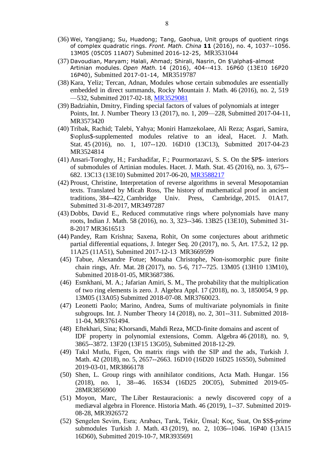- (36) Wei, Yangjiang; Su, Huadong; Tang, Gaohua, Unit groups of quotient rings of complex quadratic rings. *Front. Math. China* **11** (2016), no. 4, 1037--1056. 13M05 (05C05 11A07) Submitted 2016-12-25, [MR3531044](http://www.ams.org/mathscinet-getitem?mr=3531044)
- (37) Davoudian, Maryam; Halali, Ahmad; Shirali, Nasrin, On \$\alpha\$-almost Artinian modules. *Open Math.* 14 (2016), 404--413. 16P60 (13E10 16P20 16P40), Submitted 2017-01-14, MR3519787
- (38) Kara, Yeliz; Tercan, Adnan, Modules whose certain submodules are essentially embedded in direct summands, Rocky Mountain J. Math. 46 (2016), no. 2, 519 —532, Submitted 2017-02-18, [MR3529081](http://www.ams.org/mathscinet-getitem?mr=3529081)
- (39) Badziahin, Dmitry, Finding special factors of values of polynomials at integer Points, Int. J. Number Theory 13 (2017), no. 1, 209—228, Submitted 2017-04-11, MR3573420
- (40) Tribak, Rachid; Talebi, Yahya; Moniri Hamzekolaee, Ali Reza; Asgari, Samira, \$\oplus\$-supplemented modules relative to an ideal, Hacet. J. Math. Stat. 45 (2016), no. 1, 107--120. 16D10 (13C13), Submitted 2017-04-23 MR3524814
- (41) Ansari-Toroghy, H.; Farshadifar, F.; Pourmortazavi, S. S. On the \$P\$- interiors of submodules of Artinian modules. Hacet. J. Math. Stat. 45 (2016), no. 3, 675-- 682. 13C13 (13E10) Submitted 2017-06-20, [MR3588217](http://www.ams.org/mathscinet-getitem?mr=3588217)
- (42) Proust, Christine, Interpretation of reverse algorithms in several Mesopotamian texts. Translated by Micah Ross, The history of mathematical proof in ancient traditions, 384--422, Cambridge Univ. Press, Cambridge, 2015. 01A17, Submitted 31-8-2017, [MR3497287](http://www.ams.org/mathscinet-getitem?mr=3497287)
- (43) Dobbs, David E., Reduced commutative rings where polynomials have many roots, Indian J. Math. 58 (2016), no. 3, 323--346. 13B25 (13E10), Submitted 31- 8-2017 MR3616513
- (44) Pandey, Ram Krishna; Saxena, Rohit, On some conjectures about arithmetic partial differential equations, J. Integer Seq. 20 (2017), no. 5, Art. 17.5.2, 12 pp. 11A25 (11A51), Submitted 2017-12-13 [MR3669599](https://mathscinet.ams.org/mathscinet-getitem?mr=3669599)
- (45) Tabue, Alexandre Fotue; Mouaha Christophe, Non-isomorphic pure finite chain rings, Afr. Mat. 28 (2017), no. 5-6, 717--725. 13M05 (13H10 13M10), Submitted 2018-01-05, [MR3687386.](https://mathscinet.ams.org/mathscinet-getitem?mr=3687386)
- (46) Esmkhani, M. A.; Jafarian Amiri, S. M., The probability that the multiplication of two ring elements is zero. J. Algebra Appl. 17 (2018), no. 3, 1850054, 9 pp. 13M05 (13A05) Submitted 2018-07-08. [MR3760023.](https://mathscinet.ams.org/mathscinet-getitem?mr=3760023)
- (47) Leonetti Paolo; Marino, Andrea, Sums of multivariate polynomials in finite subgroups. Int. J. Number Theory 14 (2018), no. 2, 301--311. Submitted 2018- 11-04, [MR3761494.](https://mathscinet.ams.org/mathscinet-getitem?mr=3761494)
- (48) Eftekhari, Sina; Khorsandi, Mahdi Reza, MCD-finite domains and ascent of IDF property in polynomial extensions, Comm. Algebra 46 (2018), no. 9, 3865--3872. 13F20 (13F15 13G05), Submitted 2018-12-29.
- (49) Takıl Mutlu, Figen, On matrix rings with the SIP and the ads, Turkish J. Math. 42 (2018), no. 5, 2657--2663. 16D10 (16D20 16D25 16S50), Submitted 2019-03-01, [MR3866178](https://mathscinet.ams.org/mathscinet-getitem?mr=3866178)
- (50) Shen, L. Group rings with annihilator conditions, Acta Math. Hungar. 156 (2018), no. 1, 38--46. 16S34 (16D25 20C05), Submitted 2019-05- 2[8MR3856900](https://mathscinet.ams.org/mathscinet-getitem?mr=3856900)
- (51) Moyon, Marc, The Liber Restauracionis: a newly discovered copy of a mediæval algebra in Florence. Historia Math. 46 (2019), 1--37. Submitted 2019- 08-28, [MR3926572](https://mathscinet.ams.org/mathscinet-getitem?mr=3926572)
- (52) Şengelen Sevim, Esra; Arabacı, Tarık, Tekir, Ünsal; Koç, Suat, On \$S\$-prime submodules Turkish J. Math. 43 (2019), no. 2, 1036--1046. 16P40 (13A15 16D60), Submitted 2019-10-7, [MR3935691](https://mathscinet.ams.org/mathscinet-getitem?mr=3935691)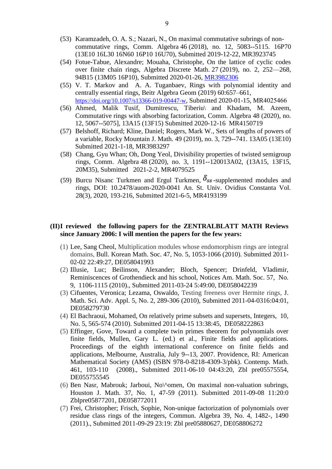- (53) Karamzadeh, O. A. S.; Nazari, N., On maximal commutative subrings of noncommutative rings, Comm. Algebra 46 (2018), no. 12, 5083--5115. 16P70 (13E10 16L30 16N60 16P10 16U70), Submitted 2019-12-22, [MR3923745](https://mathscinet.ams.org/mathscinet-getitem?mr=3923745)
- (54) Fotue-Tabue, Alexandre; Mouaha, Christophe, On the lattice of cyclic codes over finite chain rings, Algebra Discrete Math. 27 (2019), no. 2, 252—268, 94B15 (13M05 16P10), Submitted 2020-01-26, [MR3982306](https://mathscinet.ams.org/mathscinet-getitem?mr=3982306)
- (55) V. T. Markov and A. A. Tuganbaev, Rings with polynomial identity and centrally essential rings, Beitr Algebra Geom (2019) 60:657–661, <https://doi.org/10.1007/s13366-019-00447-w>, Submitted 2020-01-15, [MR4025466](https://mathscinet.ams.org/mathscinet-getitem?mr=3982306)
- (56) Ahmed, Malik Tusif, Dumitrescu, Tiberiu\ and Khadam, M. Azeem, Commutative rings with absorbing factorization, Comm. Algebra 48 (2020), no. 12, 5067--5075], 13A15 (13F15) Submitted 2020-12-16 MR4150719
- (57) Belshoff, Richard; Kline, Daniel; Rogers, Mark W., Sets of lengths of powers of a variable, Rocky Mountain J. Math. 49 (2019), no. 3, 729--741. 13A05 (13E10) Submitted 2021-1-18, [MR3983297](https://mathscinet.ams.org/mathscinet-getitem?mr=3983297)
- (58) Chang, Gyu Whan; Oh, Dong Yeol, Divisibility properties of twisted semigroup rings, Comm. Algebra 48 (2020), no. 3, 1191--120013A02, (13A15, 13F15, 20M35), Submitted 2021-2-2, [MR4079525](https://mathscinet.ams.org/mathscinet-getitem?mr=4079525)
- (59) Burcu Nisanc Turkmen and Ergul Turkmen,  $\delta_{ss}$ -supplemented modules and rings, DOI: 10.2478/auom-2020-0041 An. St. Univ. Ovidius Constanta Vol. 28(3), 2020, 193-216, Submitted 2021-6-5, MR4193199

## **(II)I reviewed the following papers for the ZENTRALBLATT MATH Reviews since January 2006: I will mention the papers for the few years:**

- (1) Lee, Sang Cheol, Multiplication modules whose endomorphism rings are integral domains, Bull. Korean Math. Soc. 47, No. 5, 1053-1066 (2010). Submitted 2011- 02-02 22:49:27, DE058041993
- (2) Illusie, Luc; Beilinson, Alexander; Bloch, Spencer; Drinfeld, Vladimir, Reminiscences of Grothendieck and his school, Notices Am. Math. Soc. 57, No. 9, 1106-1115 (2010)., Submitted 2011-03-24 5:49:00, DE058042239
- (3) Cifuentes, Veronica; Lezama, Oswaldo, Testing freeness over Hermite rings, J. Math. Sci. Adv. Appl. 5, No. 2, 289-306 (2010), Submitted 2011-04-0316:04:01, DE058279730
- (4) El Bachraoui, Mohamed, On relatively prime subsets and supersets, Integers, 10, No. 5, 565-574 (2010). Submitted 2011-04-15 13:38:45, DE058222863
- (5) Effinger, Gove, Toward a complete twin primes theorem for polynomials over finite fields, Mullen, Gary L. (ed.) et al., Finite fields and applications. Proceedings of the eighth international conference on finite fields and applications, Melbourne, Australia, July 9--13, 2007. Providence, RI: American Mathematical Society (AMS) (ISBN 978-0-8218-4309-3/pbk). Contemp. Math. 461, 103-110 (2008)., Submitted 2011-06-10 04:43:20, [Zbl pre05575554,](http://www.zentralblatt-math.org/zmath/en/search/?q=an:05575554) DE055755545
- (6) Ben Nasr, Mabrouk; Jarboui, No\^omen, On maximal non-valuation subrings, Houston J. Math. 37, No. 1, 47-59 (2011). Submitted 2011-09-08 11:20:0 [Zblpre05877201,](http://www.zentralblatt-math.org/zmath/en/search/?q=an:05877201) DE058772011
- (7) Frei, Christopher; Frisch, Sophie, Non-unique factorization of polynomials over residue class rings of the integers, Commun. Algebra 39, No. 4, 1482-, 1490 (2011)., Submitted 2011-09-29 23:19: [Zbl pre05880627,](http://www.zentralblatt-math.org/zmath/en/search/?q=an:05880627) DE058806272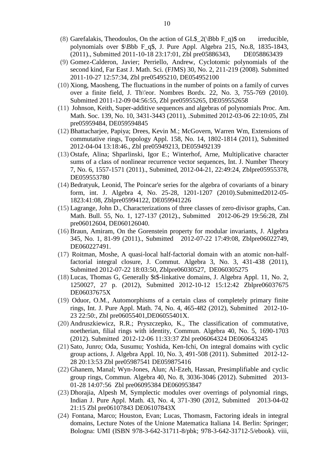- (8) Garefalakis, Theodoulos, On the action of GL\$  $2(\Bbb{B}b F q)\$ \$ on irreducible, polynomials over \$\Bbb F\_q\$, J. Pure Appl. Algebra 215, No.8, 1835-1843, (2011)., Submitted 2011-10-18 23:17:01, [Zbl pre05886343,](http://www.zentralblatt-math.org/zmath/en/search/?q=an:05886343) DE058863439
- (9) Gomez-Calderon, Javier; Perriello, Andrew, Cyclotomic polynomials of the second kind, Far East J. Math. Sci. (FJMS) 30, No. 2, 211-219 (2008). Submitted 2011-10-27 12:57:34, [Zbl pre05495210,](http://www.zentralblatt-math.org/zmath/en/search/?q=an:05495210) DE054952100
- (10) Xiong, Maosheng, The fluctuations in the number of points on a family of curves over a finite field, J. Th\'eor. Nombres Bordx. 22, No. 3, 755-769 (2010). Submitted 2011-12-09 04:56:55, [Zbl pre05955265,](http://www.zentralblatt-math.org/zmath/en/search/?q=an:05955265) DE059552658
- (11) Johnson, Keith, Super-additive sequences and algebras of polynomials Proc. Am. Math. Soc. 139, No. 10, 3431-3443 (2011), .Submitted 2012-03-06 22:10:05, [Zbl](http://www.zentralblatt-math.org/zmath/en/search/?q=an:05959484)  [pre05959484,](http://www.zentralblatt-math.org/zmath/en/search/?q=an:05959484) DE059594845
- (12) Bhattacharjee, Papiya; Drees, Kevin M.; McGovern, Warren Wm, Extensions of commutative rings, Topology Appl. 158, No. 14, 1802-1814 (2011), Submitted 2012-04-04 13:18:46., [Zbl pre05949213,](http://www.zentralblatt-math.org/zmath/en/search/?q=an:05949213) DE059492139
- (13) Ostafe, Alina; Shparlinski, Igor E.; Winterhof, Arne, Multiplicative character sums of a class of nonlinear recurrence vector sequences, Int. J. Number Theory 7, No. 6, 1557-1571 (2011)., Submitted, 2012-04-21, 22:49:24, [Zblpre05955378,](http://www.zentralblatt-math.org/zmath/en/search/?q=an:05955378) DE059553780
- (14) Bedratyuk, Leonid, The Poincar'e series for the algebra of covariants of a binary form, int. J. Algebra 4, No. 25-28, 1201-1207 (2010).Submitted2012-05- 1823:41:08, [Zblpre05994122,](http://www.zentralblatt-math.org/zmath/en/search/?q=an:05994122) DE059941226
- (15) Lagrange, John D., Characterizations of three classes of zero-divisor graphs, Can. Math. Bull. 55, No. 1, 127-137 (2012)., Submitted 2012-06-29 19:56:28, [Zbl](http://www.zentralblatt-math.org/zmath/en/search/?q=an:06012604)  [pre06012604,](http://www.zentralblatt-math.org/zmath/en/search/?q=an:06012604) DE060126040.
- (16) Braun, Amiram, On the Gorenstein property for modular invariants, J. Algebra 345, No. 1, 81-99 (2011)., Submitted 2012-07-22 17:49:08, [Zblpre06022749,](http://www.zentralblatt-math.org/zmath/en/search/?q=an:06022749) DE060227491.
- (17) Roitman, Moshe, A quasi-local half-factorial domain with an atomic non-halffactorial integral closure, J. Commut. Algebra 3, No. 3, 431-438 (2011), Submitted 2012-07-22 18:03:50, [Zblpre06030527,](http://www.zentralblatt-math.org/zmath/en/search/?q=an:06030527) DE060305275
- (18) Lucas, Thomas G, Generally \$t\$-linkative domains, J. Algebra Appl. 11, No. 2, 1250027, 27 p. (2012), Submitted 2012-10-12 15:12:42 Zblpre06037675 DE06037675X
- (19) Oduor, O.M., Automorphisms of a certain class of completely primary finite rings, Int. J. Pure Appl. Math. 74, No. 4, 465-482 (2012), Submitted 2012-10- 23 22:50:, Zbl pre06055401,DE06055401X.
- (20) Andruszkiewicz, R.R.; Pryszczepko, K., The classification of commutative, noetherian, filial rings with identity, Commun. Algebra 40, No. 5, 1690-1703 (2012). Submitted 2012-12-06 11:33:37 [Zbl pre06064324](http://www.zentralblatt-math.org/zmath/en/search/?q=an:06064324) DE060643245
- (21) Sato, Junro; Oda, Susumu; Yoshida, Ken-Ichi, On integral domains with cyclic group actions, J. Algebra Appl. 10, No. 3, 491-508 (2011). Submitted 2012-12- 28 20:13:53 [Zbl pre05987541](http://www.zentralblatt-math.org/zmath/en/search/?q=an:05987541) DE059875416
- (22) Ghanem, Manal; Wyn-Jones, Alun; Al-Ezeh, Hassan, Presimplifiable and cyclic group rings, Commun. Algebra 40, No. 8, 3036-3046 (2012). Submitted 2013- 01-28 14:07:56 [Zbl pre06095384](http://www.zentralblatt-math.org/zmath/en/search/?q=an:06095384) DE060953847
- (23) Dhorajia, Alpesh M, Symplectic modules over overrings of polynomial rings, Indian J. Pure Appl. Math. 43, No. 4, 371-390 (2012, Submitted 2013-04-02 21:15 [Zbl pre06107843](http://www.zentralblatt-math.org/zmath/en/search/?q=an:06107843) DE06107843X
- (24) Fontana, Marco; Houston, Evan; Lucas, Thomasm, Factoring ideals in integral domains, Lecture Notes of the Unione Matematica Italiana 14. Berlin: Springer; Bologna: UMI (ISBN 978-3-642-31711-8/pbk; 978-3-642-31712-5/ebook). viii,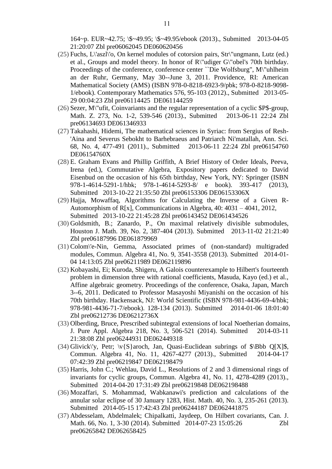164~p. EUR~42.75; \\$~49.95; \\$~49.95/ebook (2013)., Submitted 2013-04-05 21:20:07 [Zbl pre06062045](http://www.zentralblatt-math.org/zmath/en/search/?q=an:06062045) DE060620456

- (25) Fuchs, L\'aszl\'o, On kernel modules of cotorsion pairs, Str\"ungmann, Lutz (ed.) et al., Groups and model theory. In honor of R\"udiger G\"obel's 70th birthday. Proceedings of the conference, conference center ``Die Wolfsburg", M\"uhlheim an der Ruhr, Germany, May 30--June 3, 2011. Providence, RI: American Mathematical Society (AMS) (ISBN 978-0-8218-6923-9/pbk; 978-0-8218-9098- 1/ebook). Contemporary Mathematics 576, 95-103 (2012)., Submitted 2013-05- 29 00:04:23 [Zbl pre06114425](http://www.zentralblatt-math.org/zmath/en/search/?q=an:06114425) DE061144259
- (26) Sezer, M\"ufit, Coinvariants and the regular representation of a cyclic \$P\$-group, Math. Z. 273, No. 1-2, 539-546 (2013)., Submitted 2013-06-11 22:24 [Zbl](http://www.zentralblatt-math.org/zmath/en/search/?q=an:06134693)  [pre06134693](http://www.zentralblatt-math.org/zmath/en/search/?q=an:06134693) DE061346933
- (27) Takahashi, Hidemi, The mathematical sciences in Syriac: from Sergius of Resh- 'Aina and Severus Sebokht to Barhebraeus and Patriarch Ni'matallah, Ann. Sci. 68, No. 4, 477-491 (2011)., Submitted 2013-06-11 22:24 [Zbl pre06154760](http://www.zentralblatt-math.org/zmath/en/search/?q=an:06154760) DE06154760X
- (28) E. Graham Evans and Phillip Griffith, A Brief History of Order Ideals, Peeva, Irena (ed.), Commutative Algebra, Expository papers dedicated to David Eisenbud on the occasion of his 65th birthday, New York, NY: Springer (ISBN 978-1-4614-5291-1/hbk; 978-1-4614-5293-8/ e book). 393-417 (2013), Submitted 2013-10-22 21:35:50 [Zbl pre06153306](http://zbmath.org/?q=an:06143452) DE06153306X
- (29) Hajja, Mowaffaq, Algorithms for Calculating the Inverse of a Given R-Automorphism of R[x], Communications in Algebra, 40: 4031 – 4041, 2012, Submitted 2013-10-22 21:45:28 [Zbl pre06143452](http://zbmath.org/?q=an:06143452) DE061434526
- (30) Goldsmith, B.; Zanardo, P., On maximal relatively divisible submodules, Houston J. Math. 39, No. 2, 387-404 (2013). Submitted 2013-11-02 21:21:40 [Zbl pre06187996](http://zbmath.org/?q=an:06187996) DE061879969
- (31) Colom\'e-Nin, Gemma, Associated primes of (non-standard) multigraded modules, Commun. Algebra 41, No. 9, 3541-3558 (2013). Submitted 2014-01- 04 14:13:05 [Zbl pre06211989](http://zbmath.org/?q=an:06211989) DE062119896
- (32) Kobayashi, Ei; Kuroda, Shigeru, A Galois counterexample to Hilbert's fourteenth problem in dimension three with rational coefficients, Masuda, Kayo (ed.) et al., Affine algebraic geometry. Proceedings of the conference, Osaka, Japan, March 3--6, 2011. Dedicated to Professor Masayoshi Miyanishi on the occasion of his 70th birthday. Hackensack, NJ: World Scientific (ISBN 978-981-4436-69-4/hbk; 978-981-4436-71-7/ebook). 128-134 (2013). Submitted 2014-01-06 18:01:40 [Zbl pre06212736](http://zbmath.org/?q=an:06212736) DE06212736X
- (33) Olberding, Bruce, Prescribed subintegral extensions of local Noetherian domains, J. Pure Appl. Algebra 218, No. 3, 506-521 (2014). Submitted 2014-03-11 21:38:08 [Zbl pre06244931](http://zbmath.org/?q=an:06244931) DE062449318
- (34) Glivick\'y, Petr;  $\{v\}$  aroch, Jan, Quasi-Euclidean subrings of  $\Phi$  Bbb Q[X]\$, Commun. Algebra 41, No. 11, 4267-4277 (2013)., Submitted 2014-04-17 07:42:39 [Zbl pre06219847](http://zbmath.org/?q=an:06219847) DE062198479
- (35) Harris, John C.; Wehlau, David L., Resolutions of 2 and 3 dimensional rings of invariants for cyclic groups, Commun. Algebra 41, No. 11, 4278-4289 (2013)., Submitted 2014-04-20 17:31:49 [Zbl pre06219848](http://zbmath.org/?q=an:06219848) DE062198488
- (36) Mozaffari, S. Mohammad, Wabkanawi's prediction and calculations of the annular solar eclipse of 30 January 1283, Hist. Math. 40, No. 3, 235-261 (2013). Submitted 2014-05-15 17:42:43 [Zbl pre06244187](http://zbmath.org/?q=an:06244187) DE062441875
- (37) Abdesselam, Abdelmalek; Chipalkatti, Jaydeep, On Hilbert covariants, Can. J. Math. 66, No. 1, 3-30 (2014). Submitted 2014-07-23 15:05:26 [Zbl](http://zbmath.org/?q=an:06265842)  [pre06265842](http://zbmath.org/?q=an:06265842) DE062658425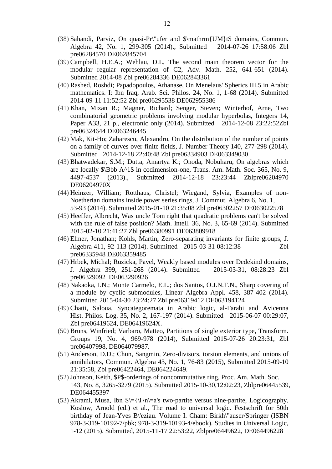- (38) Sahandi, Parviz, On quasi-Pr\"ufer and \$\mathrm{UM}t\$ domains, Commun. Algebra 42, No. 1, 299-305 (2014)., Submitted 2014-07-26 17:58:06 [Zbl](http://zbmath.org/?q=an:06284570)  [pre06284570](http://zbmath.org/?q=an:06284570) DE062845704
- (39) Campbell, H.E.A.; Wehlau, D.L, The second main theorem vector for the modular regular representation of C2, Adv. Math. 252, 641-651 (2014). Submitted 2014-08 [Zbl pre06284336](http://zbmath.org/?q=an:06284336) DE062843361
- (40) Rashed, Roshdi; Papadopoulos, Athanase, On Menelaus' Spherics III.5 in Arabic mathematics. I: Ibn Iraq, Arab. Sci. Philos. 24, No. 1, 1-68 (2014). Submitted 2014-09-11 11:52:52 [Zbl pre06295538](http://zbmath.org/?q=an:06295538) DE062955386
- (41) Khan, Mizan R.; Magner, Richard; Senger, Steven; Winterhof, Arne, Two combinatorial geometric problems involving modular hyperbolas, Integers 14, Paper A33, 21 p., electronic only (2014). Submitted 2014-12-08 23:22:5[2Zbl](http://zbmath.org/?q=an:06324644)  [pre06324644](http://zbmath.org/?q=an:06324644) DE063246445
- (42) Mak, Kit-Ho; Zaharescu, Alexandru, On the distribution of the number of points on a family of curves over finite fields, J. Number Theory 140, 277-298 (2014). Submitted 2014-12-18 22:40:48 [Zbl pre06334903](http://zbmath.org/?q=an:06334903) DE063349030
- (43) Bhatwadekar, S.M.; Dutta, Amartya K.; Onoda, Nobuharu, On algebras which are locally \$\Bbb A^1\$ in codimension-one, Trans. Am. Math. Soc. 365, No. 9, 4497-4537 (2013)., Submitted 2014-12-18 23:23:44 [Zblpre06204970](http://zbmath.org/?q=an:06204970) DE06204970X
- (44) Heinzer, William; Rotthaus, Christel; Wiegand, Sylvia, Examples of non-Noetherian domains inside power series rings, J. Commut. Algebra 6, No. 1, 53-93 (2014). Submitted 2015-01-10 21:35:08 [Zbl pre06302257](http://zbmath.org/?q=an:06302257) DE063022578
- (45) Heeffer, Albrecht, Was uncle Tom right that quadratic problems can't be solved with the rule of false position? Math. Intell. 36, No. 3, 65-69 (2014). Submitted 2015-02-10 21:41:27 [Zbl pre06380991](http://zbmath.org/?q=an:06380991) DE063809918
- (46) Elmer, Jonathan; Kohls, Martin, Zero-separating invariants for finite groups, J. Algebra 411, 92-113 (2014). Submitted 2015-03-31 08:12:38 [Zbl](http://zbmath.org/?q=an:06335948)  [pre06335948](http://zbmath.org/?q=an:06335948) DE063359485
- (47) Hrbek, Michal; Ruzicka, Pavel, Weakly based modules over Dedekind domains, J. Algebra 399, 251-268 (2014). Submitted 2015-03-31, 08:28:23 [Zbl](http://zbmath.org/?q=an:06329092)  [pre06329092](http://zbmath.org/?q=an:06329092) DE063290926
- (48) Nakaoka, I.N.; Monte Carmelo, E.L.; dos Santos, O.J.N.T.N., Sharp covering of a module by cyclic submodules, Linear Algebra Appl. 458, 387-402 (2014). Submitted 2015-04-30 23:24:27 [Zbl pre06319412](http://zbmath.org/?q=an:06329092) DE063194124
- (49) Chatti, Saloua, Syncategoremata in Arabic logic, al-Farabi and Avicenna Hist. Philos. Log. 35, No. 2, 167-197 (2014). Submitted 2015-06-07 00:29:07, [Zbl pre06419624,](http://zbmath.org/?q=an:06419624) DE06419624X.
- (50) Bruns, Winfried; Varbaro, Matteo, Partitions of single exterior type, Transform. Groups 19, No. 4, 969-978 (2014), Submitted 2015-07-26 20:23:31, [Zbl](http://zbmath.org/?q=an:06407998)  [pre06407998,](http://zbmath.org/?q=an:06407998) DE064079987.
- (51) Anderson, D.D.; Chun, Sangmin, Zero-divisors, torsion elements, and unions of annihilators, Commun. Algebra 43, No. 1, 76-83 (2015), Submitted 2015-09-10 21:35:58, [Zbl pre06422464,](http://zbmath.org/?q=an:06422464) DE064224649.
- (52) Johnson, Keith, \$P\$-orderings of noncommutative ring, Proc. Am. Math. Soc. 143, No. 8, 3265-3279 (2015). Submitted 2015-10-30,12:02:23, [Zblpre06445539,](http://zbmath.org/?q=an:06445539) DE064455397
- (53) Akrami, Musa, Ibn  $S = {\iota} \nvert a$ 's two-partite versus nine-partite, Logicography, Koslow, Arnold (ed.) et al., The road to universal logic. Festschrift for 50th birthday of Jean-Yves B\'eziau. Volume I. Cham: Birkh\"auser/Springer (ISBN 978-3-319-10192-7/pbk; 978-3-319-10193-4/ebook). Studies in Universal Logic, 1-12 (2015). Submitted, 2015-11-17 22:53:22, [Zblpre06449622,](http://zbmath.org/?q=an:06449622) DE064496228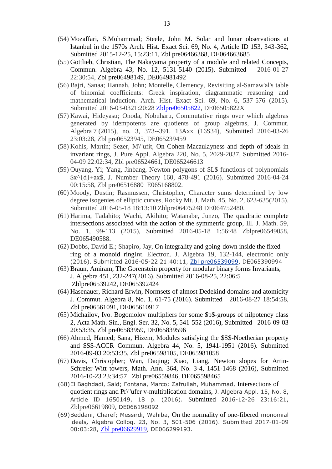- (54) Mozaffari, S.Mohammad; Steele, John M. Solar and lunar observations at Istanbul in the 1570s Arch. Hist. Exact Sci. 69, No. 4, Article ID 153, 343-362, Submitted 2015-12-25, 15:23:11, [Zbl pre06466368,](http://zbmath.org/?q=an:06466368) DE064663685
- (55) Gottlieb, Christian, The Nakayama property of a module and related Concepts, Commun. Algebra 43, No. 12, 5131-5140 (2015). Submitted 2016-01-27 22:30:54, [Zbl pre06498149,](http://zbmath.org/?q=an:06498149) DE064981492
- (56) Bajri, Sanaa; Hannah, John; Montelle, Clemency, Revisiting al-Samaw'al's table of binomial coefficients: Greek inspiration, diagrammatic reasoning and mathematical induction. Arch. Hist. Exact Sci. 69, No. 6, 537-576 (2015). Submitted 2016-03-0321:20:28 [Zblpre06505822,](http://zbmath.org/?q=an:06505822) DE06505822X
- (57) Kawai, Hideyasu; Onoda, Nobuharu, Commutative rings over which algebras generated by idempotents are quotients of group algebras, J. Commut. Algebra 7 (2015), no. 3, 373--391. 13Axx (16S34), Submitted 2016-03-26 23:03:28, [Zbl pre06523945,](http://zbmath.org/?q=an:06523945) DE065239459
- (58) Kohls, Martin; Sezer, M\"ufit, On Cohen-Macaulayness and depth of ideals in invariant rings, J. Pure Appl. Algebra 220, No. 5, 2029-2037, Submitted 2016- 04-09 22:02:34, [Zbl pre06524661,](http://zbmath.org/?q=an:06524661) DE065246613
- (59) Ouyang, Yi; Yang, Jinbang, Newton polygons of \$L\$ functions of polynomials \$x^{d}+ax\$, J. Number Theory 160, 478-491 (2016). Submitted 2016-04-24 00:15:58, [Zbl pre06516880](http://zbmath.org/?q=an:06516880) E065168802.
- (60) Moody, Dustin; Rasmussen, Christopher, Character sums determined by low degree isogenies of elliptic curves, Rocky Mt. J. Math. 45, No. 2, 623-635(2015). Submitted 2016-05-18 18:13:10 [Zblpre06475248](http://zbmath.org/?q=an:06475248) DE064752480.
- (61) Harima, Tadahito; Wachi, Akihito; Watanabe, Junzo, The quadratic complete intersections associated with the action of the symmetric group, Ill. J. Math. 59, No. 1, 99-113 (2015), Submitted 2016-05-18 1:56:48 [Zblpre06549058,](http://zbmath.org/?q=an:06549058) DE065490588.
- (62) Dobbs, David E.; Shapiro, Jay, On integrality and going-down inside the fixed ring of a monoid ringInt. Electron. J. Algebra 19, 132-144, electronic only (2016). Submitted 2016-05-22 21:40:11, [Zbl pre06539099,](http://zbmath.org/?q=an:06539099) DE065390994
- (63) Braun, Amiram, The Gorenstein property for modular binary forms Invariants, J. Algebra 451, 232-247(2016). Submitted 2016-08-25, 22:06:5 [Zblpre06539242,](http://zbmath.org/?q=an:06539242) DE065392424
- (64) Hasenauer, Richard Erwin, Normsets of almost Dedekind domains and atomicity J. Commut. Algebra 8, No. 1, 61-75 (2016). Submitted 2016-08-27 18:54:58, [Zbl pre06561091,](http://zbmath.org/?q=an:06561091) DE065610917
- (65) Michailov, Ivo. Bogomolov multipliers for some \$p\$-groups of nilpotency class 2, Acta Math. Sin., Engl. Ser. 32, No. 5, 541-552 (2016), Submitted 2016-09-03 20:53:35, [Zbl pre06583959,](http://zbmath.org/?q=an:06583959) DE065839596
- (66) Ahmed, Hamed; Sana, Hizem, Modules satisfying the \$S\$-Noetherian property and \$S\$-ACCR Commun. Algebra 44, No. 5, 1941-1951 (2016). Submitted 2016-09-03 20:53:35, [Zbl pre06598105,](http://zbmath.org/?q=an:06598105) DE065981058
- (67) Davis, Christopher; Wan, Daqing; Xiao, Liang, Newton slopes for Artin-Schreier-Witt towers, Math. Ann. 364, No. 3-4, 1451-1468 (2016), Submitted 2016-10-23 23:34:57 [Zbl pre06559846,](http://zbmath.org/?q=an:06559846) DE065598465
- (68)El Baghdadi, Said; Fontana, Marco; Zafrullah, Muhammad, Intersections of quotient rings and Pr\"ufer v-multiplication domains, J. Algebra Appl. 15, No. 8, Article ID 1650149, 18 p. (2016). Submitted 2016-12-26 23:16:21, [Zblpre06619809](http://zbmath.org/?q=an:06619809), DE066198092
- (69)Beddani, Charef; Messirdi, Wahiba, On the normality of one-fibered monomial ideals**,** Algebra Colloq. 23, No. 3, 501-506 (2016). Submitted 2017-01-09 00:03:28, [Zbl pre06629919](http://zbmath.org/?q=an:06629919), DE066299193.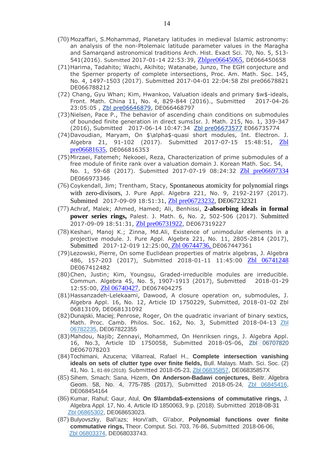- (70) Mozaffari, S.Mohammad, Planetary latitudes in medieval Islamic astronomy: an analysis of the non-Ptolemaic latitude parameter values in the Maragha and Samarqand astronomical traditions Arch. Hist. Exact Sci. 70, No. 5, 513- 541(2016). Submitted 2017-01-14 22:53:39, [Zblpre06645065](http://zbmath.org/?q=an:06645065), DE066450658
- (71)Harima, Tadahito; Wachi, Akihito; Watanabe, Junzo, The EGH conjecture and the Sperner property of complete intersections, Proc. Am. Math. Soc. 145, No. 4, 1497-1503 (2017). Submitted 2017-04-01 22:04:58 [Zbl pre06678821](http://zbmath.org/?q=an:06678821) DE066788212
- (72) Chang, Gyu Whan; Kim, Hwankoo, Valuation ideals and primary \$w\$-ideals, Front. Math. China 11, No. 4, 829-844 (2016)., Submitted 2017-04-26 23:05:05 , [Zbl pre06646879,](http://zbmath.org/?q=an:06646879) DE066468797
- (73)Nielsen, Pace P., The behavior of ascending chain conditions on submodules of bounded finite generation in direct sumsIsr. J. Math. 215, No. 1, 339-347 (2016), Submitted 2017-06-14 10:47:34 [Zbl pre06673577](http://zbmath.org/?q=an:06673577) E066735774
- (74)Davoudian, Maryam, On \$\alpha\$-quasi short modules, Int. Electron. J. Algebra 21, 91-102 (2017). Submitted 2017-07-15 15:48:51, [Zbl](http://zbmath.org/?q=an:06681635) [pre06681635](http://zbmath.org/?q=an:06681635), DE066816353
- (75)Mirzaei, Fatemeh; Nekooei, Reza, Characterization of prime submodules of a free module of finite rank over a valuation domain J. Korean Math. Soc. 54, No. 1, 59-68 (2017). Submitted 2017-07-19 08:24:32 [Zbl pre06697334](http://zbmath.org/?q=an:06681635) DE066973346
- (76) Coykendall, Jim; Trentham, Stacy, Spontaneous atomicity for polynomial rings with zero-divisors, J. Pure Appl. Algebra 221, No. 9, 2192-2197 (2017). Submitted 2017-09-09 18:51:31, [Zbl pre06723232,](http://zbmath.org/?q=an:06723232) DE067232321
- (77) Achraf, Malek; Ahmed, Hamed; Ali, Benhissi, **2-absorbing ideals in formal power series rings,** Palest. J. Math. 6, No. 2, 502-506 (2017). Submitted 2017-09-09 18:51:31, [Zbl pre06731922](http://zbmath.org/?q=an:06731922), DE067319227
- (78) Keshari, Manoj K.; Zinna, Md.Ali, Existence of unimodular elements in a projective module. J. Pure Appl. Algebra 221, No. 11, 2805-2814 (2017), Submitted 2017-12-019 12:25:00, [Zbl 06744736,](https://zbmath.org/?q=an:06744736) DE067447361
- (79)Lezowski, Pierre, On some Euclidean properties of matrix algebras, J. Algebra 486, 157-203 (2017), Submitted 2018-01-11 11:45:00 [Zbl 06741248](https://zbmath.org/?q=an:06741248) DE067412482
- (80)Chen, Justin; Kim, Youngsu, Graded-irreducible modules are irreducible. Commun. Algebra 45, No. 5, 1907-1913 (2017), Submitted 2018-01-29 12:55:00, Zbl 06740427, DE067404275
- (81)Hassanzadeh-Lelekaami, Dawood, A closure operation on, submodules, J. Algebra Appl. 16, No. 12, Article ID 1750229, Submitted, 2018-01-02 [Zbl](https://zbmath.org/?q=an:06813109)  [06813109,](https://zbmath.org/?q=an:06813109) DE068131092
- (82)Dunajski, Maciej; Penrose, Roger, On the quadratic invariant of binary sextics, Math. Proc. Camb. Philos. Soc. 162, No. 3, Submitted 2018-04-13 [Zbl](https://zbmath.org/?q=an:06782235)  [06782235,](https://zbmath.org/?q=an:06782235) DE067822355
- (83)Mahdou, Najib; Zennayi, Mohammed, On Henriksen rings, J. Algebra Appl. 16, No.3, Article ID 1750058, Submitted 2018-05-06, [Zbl 06707820](https://zbmath.org/?q=an:06707820) DE067078203
- (84)Tochimani, Azucena; Villarreal, Rafael H., **Complete intersection vanishing ideals on sets of clutter type over finite fields,** Bull. Malays. Math. Sci. Soc. (2) 41, No. 1, 81-89 (2018). Submitted 2018-05-23, [Zbl 06835857,](https://zbmath.org/?q=an:06835857) DE06835857X
- (85) Sihem, Smach; Sana, Hizem, **On Anderson-Badawi conjectures,** Beitr. Algebra Geom. 58, No. 4, 775-785 (2017), Submitted 2018-05-24, [Zbl 06845416,](https://zbmath.org/?q=an:06845416) DE068454164
- (86) Kumar, Rahul; Gaur, Atul, **On \$\lambda\$-extensions of commutative rings,** J. Algebra Appl. 17, No. 4, Article ID 1850063, 9 p. (2018). Submitted 2018-08-31 [Zbl 06865302,](https://zbmath.org/?q=an:06865302) DE068653023.
- (87) Bulyovszky, Bal\'azs; Horv\'ath, G\'abor, **Polynomial functions over finite commutative rings,** Theor. Comput. Sci. 703, 76-86, Submitted 2018-06-06, [Zbl 06803374,](https://zbmath.org/?q=an:06803374) DE068033743.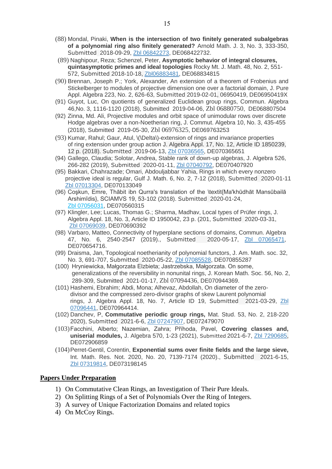- (88) Mondal, Pinaki, **When is the intersection of two finitely generated subalgebras of a polynomial ring also finitely generated?** Arnold Math. J. 3, No. 3, 333-350, Submitted 2018-09-29, [Zbl 06842273,](https://zbmath.org/?q=an:06842273) DE068422732.
- (89) Naghipour, Reza; Schenzel, Peter, **Asymptotic behavior of integral closures, quintasymptotic primes and ideal topologies** Rocky Mt. J. Math. 48, No. 2, 551- 572, Submitted 2018-10-18, [Zbl06883481,](https://zbmath.org/?q=an:06883481) DE068834815
- (90) Brennan, Joseph P.; York, Alexander, An extension of a theorem of Frobenius and Stickelberger to modules of projective dimension one over a factorial domain, J. Pure Appl. Algebra 223, No. 2, 626-63, Submitted 2019-02-01, 06950419, DE06950419X
- (91) Guyot, Luc, On quotients of generalized Euclidean group rings, Commun. Algebra 46,No. 3, 1116-1120 (2018), Submitted 2019-04-06, [Zbl 06880750](https://zbmath.org/?q=an:06880750), DE068807504
- (92) Zinna, Md. Ali, Projective modules and orbit space of unimodular rows over discrete Hodge algebras over a non-Noetherian ring, J. Commut. Algebra 10, No. 3, 435-455 (2018), Submitted 2019-05-30, [Zbl 06976325](https://zbmath.org/?q=an:06976325), DE069763253
- (93) Kumar, Rahul; Gaur, Atul, \(\Delta\)-extension of rings and invariance properties of ring extension under group action J. Algebra Appl. 17, No. 12, Article ID 1850239, 12 p. (2018). Submitted 2019-06-13, [Zbl 07036565,](https://zbmath.org/?q=an:07036565) DE070365651
- (94) Gallego, Claudia; Solotar, Andrea, Stable rank of down-up algebras, J. Algebra 526, 266-282 (2019), Submitted 2020-01-11, [Zbl 07040792,](https://zbmath.org/?q=an:07040792) DE070407920
- (95) Bakkari, Chahrazade; Omari, Abdouljabbar Yahia, Rings in which every nonzero projective ideal is regular, Gulf J. Math. 6, No. 2, 7-12 (2018), Submitted 2020-01-11 [Zbl 07013304,](https://zbmath.org/?q=an:07013304) DE070133049
- (96) Coşkun, Emre, Thābit ibn Qurra's translation of the \textit{Ma'khūdhāt Mansūbailā Arshimīdis}, SCIAMVS 19, 53-102 (2018). Submitted 2020-01-24, [Zbl 07056031,](https://zbmath.org/?q=an:07056031) DE070560315
- (97) Klingler, Lee; Lucas, Thomas G.; Sharma, Madhav, Local types of Prüfer rings, J. Algebra Appl. 18, No. 3, Article ID 1950042, 23 p. (201, Submitted 2020-03-31, [Zbl 07069039,](https://zbmath.org/?q=an:07069039) DE070690392
- (98) Varbaro, Matteo, Connectivity of hyperplane sections of domains, Commun. Algebra 47, No. 6, 2540-2547 (2019)., Submitted 2020-05-17, [Zbl 07065471,](https://zbmath.org/?q=an:07065471) DE070654716.
- (99) Draisma, Jan, Topological noetherianity of polynomial functors, J. Am. Math. soc. 32, No. 3, 691-707, Submitted 2020-05-22, [Zbl 07085528,](https://zbmath.org/?q=an:07085528) DE070855287
- (100) Hryniewicka, Małgorzata Elzbieta; Jastrzebska, Małgorzata. On some, generalizations of the reversibility in nonunital rings, J. Korean Math. Soc. 56, No. 2, 289-309, Submitted 2021-01-17, [Zbl 07094436](https://zbmath.org/?q=an:07094436), DE070944369.
- (101) Hashemi, Ebrahim; Abdi, Mona; Alhevaz, Abdollah, On diameter of the zerodivisor and the compressed zero-divisor graphs of skew Laurent polynomial rings, J. Algebra Appl. 18, No. 7, Article ID 19, Submitted 2021-03-29, [Zbl](https://zbmath.org/?q=an:07096441)  [07096441,](https://zbmath.org/?q=an:07096441) DE070964414.
- (102) Danchev, P, **Commutative periodic group rings,** Mat. Stud. 53, No. 2, 218-220 2020), Submitted 2021-6-6, [Zbl 07247907,](https://zbmath.org/?q=an:07247907) DE072479070
- (103)Facchini, Alberto; Nazemian, Zahra; Příhoda, Pavel, **Covering classes and, uniserial modules,** J. Algebra 570, 1-23 (2021), Submitted 2021-6-7, [Zbl 7290685,](https://zbmath.org/?q=an:07290685) DE072906859
- (104)Perret-Gentil, Corentin, **Exponential sums over finite fields and the large sieve,**  Int. Math. Res. Not. 2020, No. 20, 7139-7174 (2020)., Submitted 2021-6-15, [Zbl 07319814,](https://zbmath.org/?q=an:07319814) DE073198145

#### **Papers Under Preparation** Í

- 1) On Commutative Clean Rings, an Investigation of Their Pure Ideals.
- 2) On Splitting Rings of a Set of Polynomials Over the Ring of Integers.
- 3) A survey of Unique Factorization Domains and related topics
- 4) On McCoy Rings.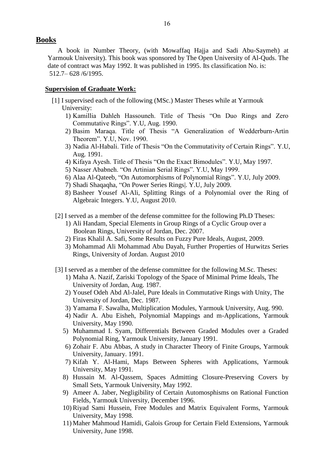## **Books**

 A book in Number Theory, (with Mowaffaq Hajja and Sadi Abu-Saymeh) at Yarmouk University). This book was sponsored by The Open University of Al-Quds. The date of contract was May 1992. It was published in 1995. Its classification No. is: 512.7– 628 /6/1995.

#### **Supervision of Graduate Work:**

- [1] I supervised each of the following (MSc.) Master Theses while at Yarmouk University:
	- 1) Kamillia Dahleh Hassouneh. Title of Thesis "On Duo Rings and Zero Commutative Rings". Y.U, Aug. 1990.
	- 2) Basim Maraqa. Title of Thesis "A Generalization of Wedderburn-Artin Theorem". Y.U, Nov. 1990.
	- 3) Nadia Al-Habali. Title of Thesis "On the Commutativity of Certain Rings". Y.U, Aug. 1991.
	- 4) Kifaya Ayesh. Title of Thesis "On the Exact Bimodules". Y.U, May 1997.
	- 5) Nasser Ababneh. "On Artinian Serial Rings". Y.U, May 1999.
	- 6) Alaa Al-Qateeb, "On Automorphisms of Polynomial Rings". Y.U, July 2009.
	- 7) Shadi Shaqaqha, "On Power Series Rings|. Y.U, July 2009.
	- 8) Basheer Yousef Al-Ali, Splitting Rings of a Polynomial over the Ring of Algebraic Integers. Y.U, August 2010.
	- [2] I served as a member of the defense committee for the following Ph.D Theses:
		- 1) Ali Handam, Special Elements in Group Rings of a Cyclic Group over a Boolean Rings, University of Jordan, Dec. 2007.
		- 2) Firas Khalil A. Safi, Some Results on Fuzzy Pure Ideals, August, 2009.
		- 3) Mohammad Ali Mohammad Abu Dayah, Further Properties of Hurwitzs Series Rings, University of Jordan. August 2010
	- [3] I served as a member of the defense committee for the following M.Sc. Theses:
		- 1) Maha A. Nazif, Zariski Topology of the Space of Minimal Prime Ideals, The University of Jordan, Aug. 1987.
		- 2) Yousef Odeh Abd Al-Jalel, Pure Ideals in Commutative Rings with Unity, The University of Jordan, Dec. 1987.
		- 3) Yamama F. Sawalha, Multiplication Modules, Yarmouk University, Aug. 990.
		- 4) Nadir A. Abu Eisheh, Polynomial Mappings and m-Applications, Yarmouk University, May 1990.
		- 5) Muhammad I. Syam, Differentials Between Graded Modules over a Graded Polynomial Ring, Yarmouk University, January 1991.
		- 6) Zohair F. Abu Abbas, A study in Character Theory of Finite Groups, Yarmouk University, January. 1991.
		- 7) Kifah Y. Al-Hami, Maps Between Spheres with Applications, Yarmouk University, May 1991.
		- 8) Hussain M. Al-Qassem, Spaces Admitting Closure-Preserving Covers by Small Sets, Yarmouk University, May 1992.
		- 9) Ameer A. Jaber, Negligibility of Certain Automosphisms on Rational Function Fields, Yarmouk University, December 1996.
		- 10) Riyad Sami Hussein, Free Modules and Matrix Equivalent Forms, Yarmouk University, May 1998.
		- 11) Maher Mahmoud Hamidi, Galois Group for Certain Field Extensions, Yarmouk University, June 1998.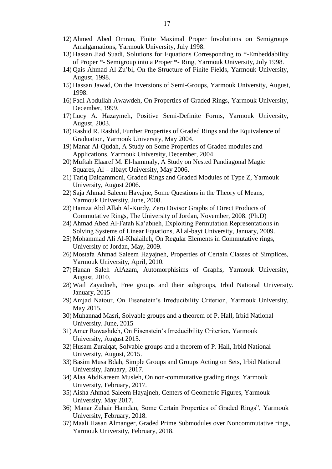- 12) Ahmed Abed Omran, Finite Maximal Proper Involutions on Semigroups Amalgamations, Yarmouk University, July 1998.
- 13) Hassan Jiad Suadi, Solutions for Equations Corresponding to \*-Embeddability of Proper \*- Semigroup into a Proper \*- Ring, Yarmouk University, July 1998.
- 14) Qais Ahmad Al-Zu'bi, On the Structure of Finite Fields, Yarmouk University, August, 1998.
- 15) Hassan Jawad, On the Inversions of Semi-Groups, Yarmouk University, August, 1998.
- 16) Fadi Abdullah Awawdeh, On Properties of Graded Rings, Yarmouk University, December, 1999.
- 17) Lucy A. Hazaymeh, Positive Semi-Definite Forms, Yarmouk University, August, 2003.
- 18) Rashid R. Rashid, Further Properties of Graded Rings and the Equivalence of Graduation, Yarmouk University, May 2004.
- 19) Manar Al-Qudah, A Study on Some Properties of Graded modules and Applications. Yarmouk University, December, 2004.
- 20) Muftah Elaaref M. El-hammaly, A Study on Nested Pandiagonal Magic Squares, Al – albayt University, May 2006.
- 21) Tariq Dalqammoni, Graded Rings and Graded Modules of Type Z, Yarmouk University, August 2006.
- 22) Saja Ahmad Saleem Hayajne, Some Questions in the Theory of Means, Yarmouk University, June, 2008.
- 23) Hamza Abd Allah Al-Kordy, Zero Divisor Graphs of Direct Products of Commutative Rings, The University of Jordan, November, 2008. (Ph.D)
- 24) Ahmad Abed Al-Fatah Ka'abneh, Exploiting Permutation Representations in Solving Systems of Linear Equations, Al al-bayt University, January, 2009.
- 25) Mohammad Ali Al-Khalaileh, On Regular Elements in Commutative rings, University of Jordan, May, 2009.
- 26) Mostafa Ahmad Saleem Hayajneh, Properties of Certain Classes of Simplices, Yarmouk University, April, 2010.
- 27) Hanan Saleh AlAzam, Automorphisims of Graphs, Yarmouk University, August, 2010.
- 28) Wail Zayadneh, Free groups and their subgroups, Irbid National University. January, 2015
- 29) Amjad Natour, On Eisenstein's Irreducibility Criterion, Yarmouk University, May 2015.
- 30) Muhannad Masri, Solvable groups and a theorem of P. Hall, Irbid National University. June, 2015
- 31) Amer Rawashdeh, On Eisenstein's Irreducibility Criterion, Yarmouk University, August 2015.
- 32) Husam Zuraiqat, Solvable groups and a theorem of P. Hall, Irbid National University, August, 2015.
- 33) Basim Musa Bdah, Simple Groups and Groups Acting on Sets, Irbid National University, January, 2017.
- 34) Alaa AbdKareem Musleh, On non-commutative grading rings, Yarmouk University, February, 2017.
- 35) Aisha Ahmad Saleem Hayajneh, Centers of Geometric Figures, Yarmouk University, May 2017.
- 36) Manar Zuhair Hamdan, Some Certain Properties of Graded Rings", Yarmouk University, February, 2018.
- 37) Maali Hasan Almanger, Graded Prime Submodules over Noncommutative rings, Yarmouk University, February, 2018.